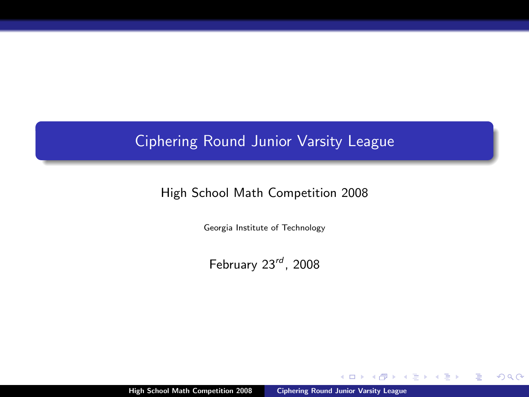# Ciphering Round Junior Varsity League

## High School Math Competition 2008

Georgia Institute of Technology

February  $23^{rd}$ , 2008

High School Math Competition 2008 [Ciphering Round Junior Varsity League](#page-0-0)

 $\Box$ 

<span id="page-0-0"></span> $2Q$ 

Þ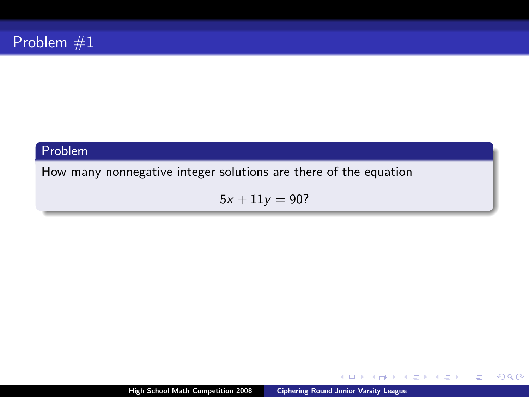How many nonnegative integer solutions are there of the equation

 $5x + 11y = 90?$ 

High School Math Competition 2008 [Ciphering Round Junior Varsity League](#page-0-0)

 $\leftarrow$ 

Þ

œ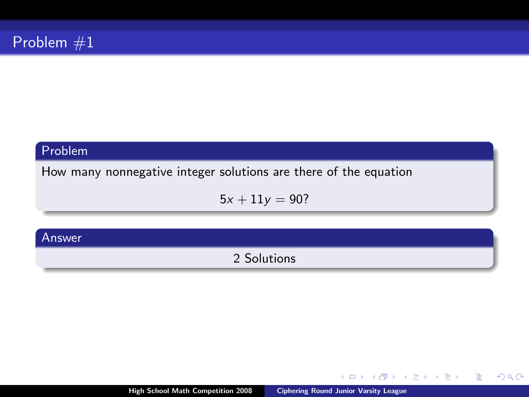How many nonnegative integer solutions are there of the equation

 $5x + 11y = 90?$ 

#### Answer

2 Solutions

 $\leftarrow$ 

Þ

œ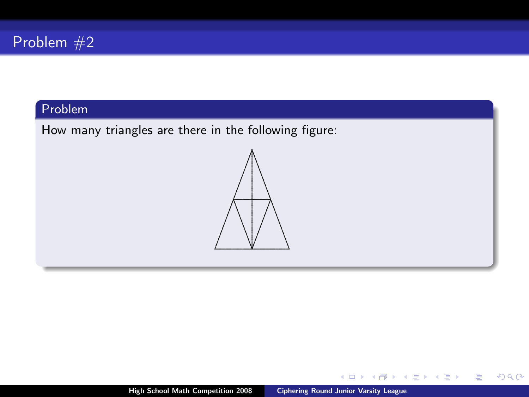How many triangles are there in the following figure:



 $\leftarrow$   $\Box$ 

 $299$ 

∍. **B** ∍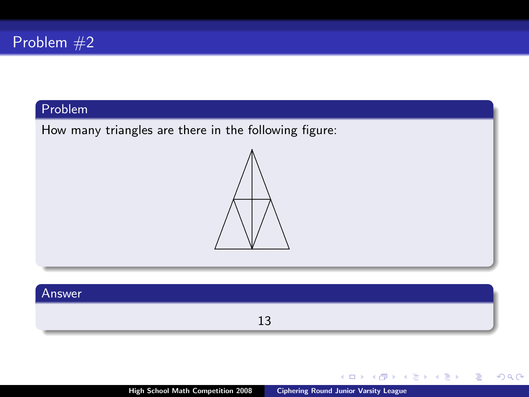How many triangles are there in the following figure:



### Answer

13

 $\leftarrow$   $\Box$ 

 $\Rightarrow$ Þ

∍  $\triangleleft$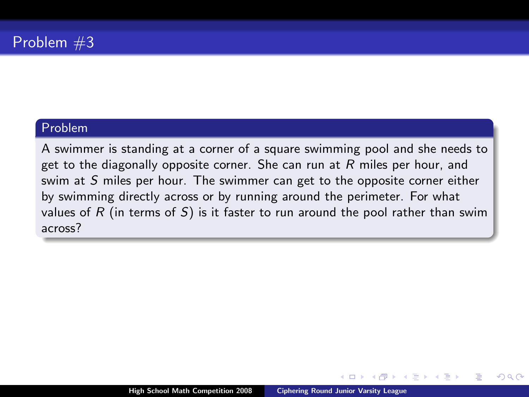A swimmer is standing at a corner of a square swimming pool and she needs to get to the diagonally opposite corner. She can run at  $R$  miles per hour, and swim at S miles per hour. The swimmer can get to the opposite corner either by swimming directly across or by running around the perimeter. For what values of R (in terms of S) is it faster to run around the pool rather than swim across?

つひへ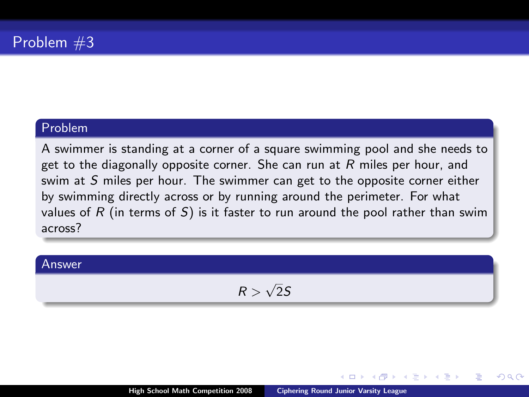A swimmer is standing at a corner of a square swimming pool and she needs to get to the diagonally opposite corner. She can run at  $R$  miles per hour, and swim at S miles per hour. The swimmer can get to the opposite corner either by swimming directly across or by running around the perimeter. For what values of  $R$  (in terms of  $S$ ) is it faster to run around the pool rather than swim across?

#### Answer

$$
R>\sqrt{2}S
$$

nar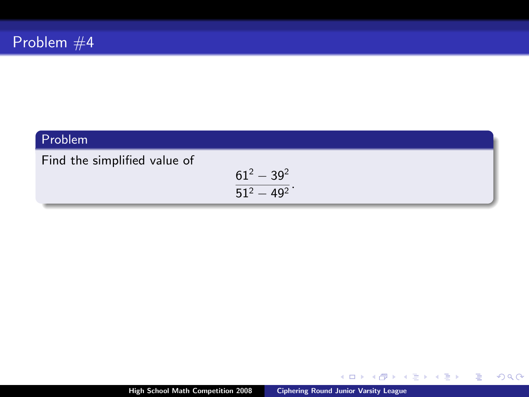Find the simplified value of

$$
\frac{61^2-39^2}{51^2-49^2}.
$$

High School Math Competition 2008 [Ciphering Round Junior Varsity League](#page-0-0)

 $\leftarrow$   $\Box$ 

4 有 × ∍ ×.  $299$ 

 $\Rightarrow$ Þ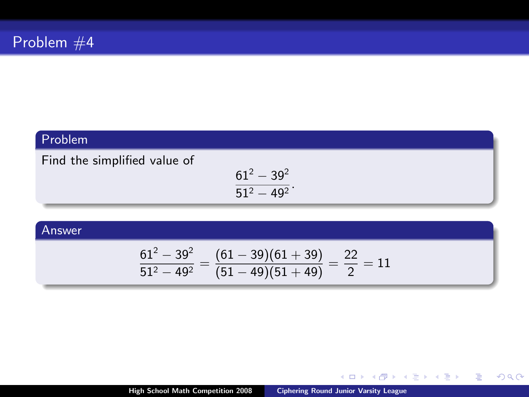Find the simplified value of

$$
\frac{61^2-39^2}{51^2-49^2}.
$$

#### Answer

$$
\frac{61^2 - 39^2}{51^2 - 49^2} = \frac{(61 - 39)(61 + 39)}{(51 - 49)(51 + 49)} = \frac{22}{2} = 11
$$

 $\leftarrow$   $\Box$   $\rightarrow$ 

4 间 **B** ÷.  $\mathbf{p}$   $\leftarrow \Xi \rightarrow$ 

Þ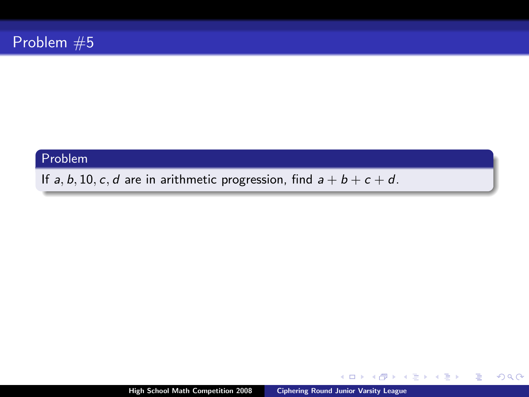If a, b, 10, c, d are in arithmetic progression, find  $a + b + c + d$ .

 $\leftarrow$   $\Box$ 

4 日本 4 日本

**B** 

Þ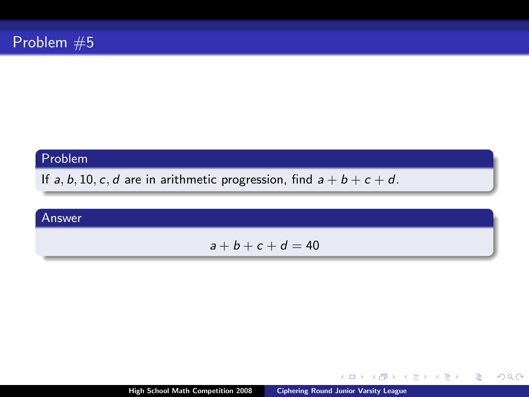If  $a, b, 10, c, d$  are in arithmetic progression, find  $a + b + c + d$ .

#### Answer

$$
a+b+c+d=40
$$

 $\leftarrow$   $\Box$ 

 $\mathbf{p}$ ∢ 重 ≯  $\rightarrow$   $\Rightarrow$ 

Þ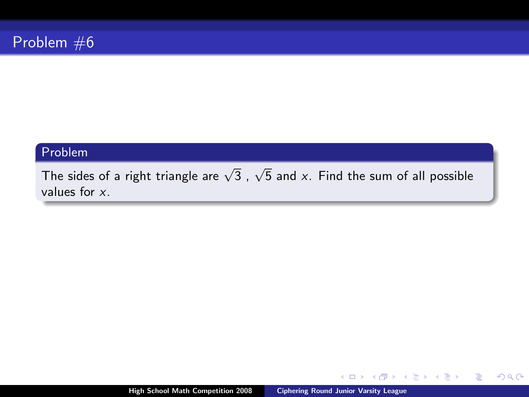The sides of a right triangle are  $\sqrt{3}$  ,  $\sqrt{5}$  and  ${\sf x}.$  Find the sum of all possible values for x.

 $\leftarrow$ 

Þ

∍. **II**   $2Q$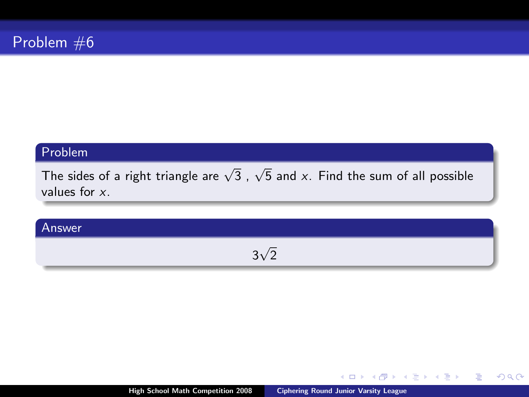The sides of a right triangle are  $\sqrt{3}$  ,  $\sqrt{5}$  and  ${\sf x}.$  Find the sum of all possible values for x.

### Answer

#### 3 √ 2

 $\leftarrow$ 

Þ

œ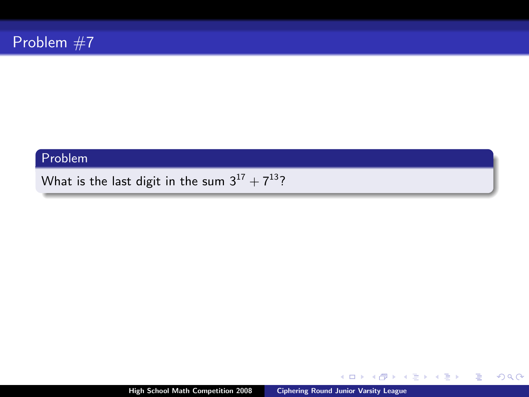What is the last digit in the sum  $3^{17} + 7^{13}$ ?

 $\leftarrow$   $\Box$ 

4 有 × 4 日本 4 日本

目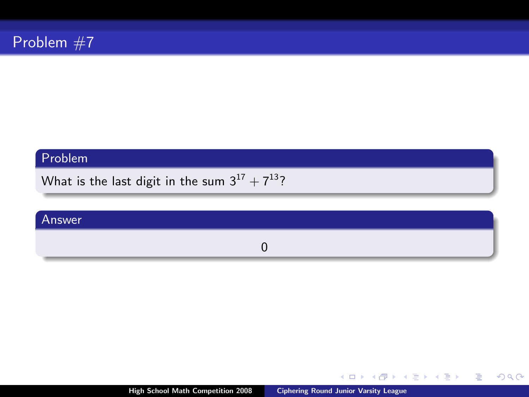What is the last digit in the sum  $3^{17} + 7^{13}$ ?

#### Answer

0

 $\leftarrow$   $\Box$   $\rightarrow$ 

 $\leftarrow$  $\sim$  メミメ メミメ

目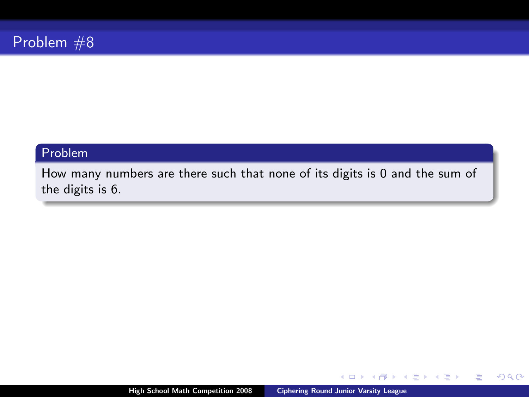How many numbers are there such that none of its digits is 0 and the sum of the digits is 6.

 $\leftarrow$ 

 $2Q$ 

∍

э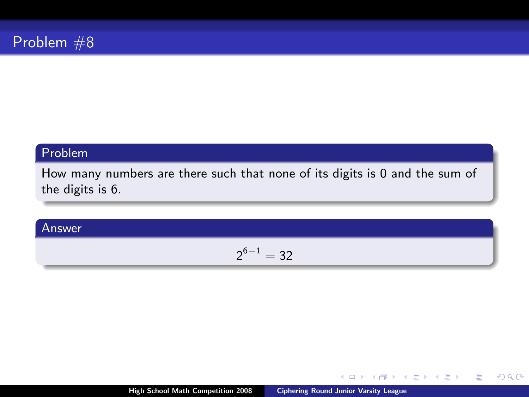How many numbers are there such that none of its digits is 0 and the sum of the digits is 6.

Answer

$$
2^{6-1}=32\\
$$

 $\leftarrow$ 

Þ

œ

 $2Q$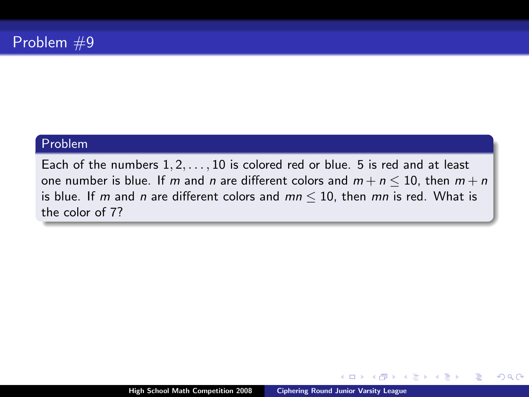Each of the numbers  $1, 2, \ldots, 10$  is colored red or blue. 5 is red and at least one number is blue. If m and n are different colors and  $m + n \le 10$ , then  $m + n$ is blue. If m and n are different colors and  $mn \le 10$ , then mn is red. What is the color of 7?

 $\leftarrow$ 

 $\Omega$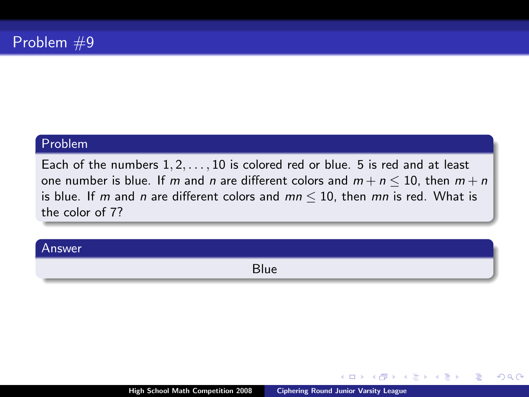Each of the numbers  $1, 2, \ldots, 10$  is colored red or blue. 5 is red and at least one number is blue. If m and n are different colors and  $m + n \le 10$ , then  $m + n$ is blue. If m and n are different colors and  $mn \le 10$ , then mn is red. What is the color of 7?

# Answer Blue

 $\leftarrow$ 

つへへ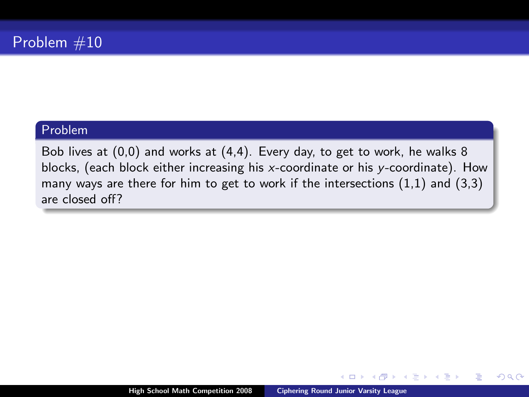Bob lives at (0,0) and works at (4,4). Every day, to get to work, he walks 8 blocks, (each block either increasing his x-coordinate or his y-coordinate). How many ways are there for him to get to work if the intersections (1,1) and (3,3) are closed off?

つへへ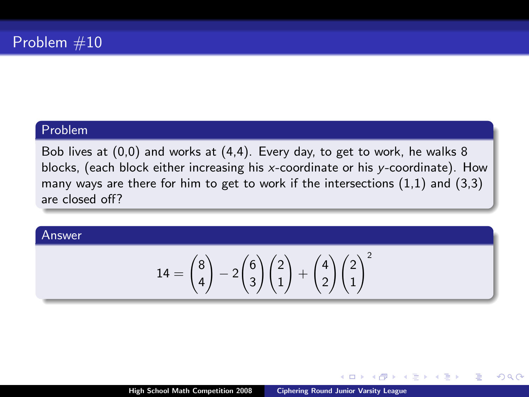Bob lives at (0,0) and works at (4,4). Every day, to get to work, he walks 8 blocks, (each block either increasing his x-coordinate or his y-coordinate). How many ways are there for him to get to work if the intersections  $(1,1)$  and  $(3,3)$ are closed off?

#### Answer

$$
14 = \binom{8}{4} - 2\binom{6}{3}\binom{2}{1} + \binom{4}{2}\binom{2}{1}^2
$$

 $\Box$ 

 $\Omega$